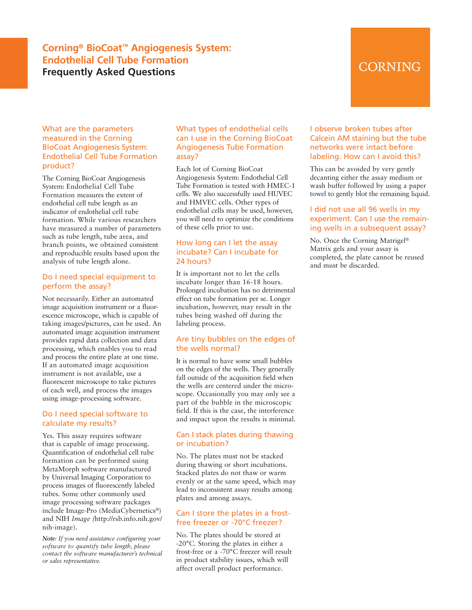### **Corning® BioCoat™ Angiogenesis System: Endothelial Cell Tube Formation Frequently Asked Questions**

## CORNING

#### What are the parameters measured in the Corning BioCoat Angiogenesis System: Endothelial Cell Tube Formation product?

The Corning BioCoat Angiogenesis System: Endothelial Cell Tube Formation measures the extent of endothelial cell tube length as an indicator of endothelial cell tube formation. While various researchers have measured a number of parameters such as tube length, tube area, and branch points, we obtained consistent and reproducible results based upon the analysis of tube length alone.

#### Do I need special equipment to perform the assay?

Not necessarily. Either an automated image acquisition instrument or a fluorescence microscope, which is capable of taking images/pictures, can be used. An automated image acquisition instrument provides rapid data collection and data processing, which enables you to read and process the entire plate at one time. If an automated image acquisition instrument is not available, use a fluorescent microscope to take pictures of each well, and process the images using image-processing software.

#### Do I need special software to calculate my results?

Yes. This assay requires software that is capable of image processing. Quantification of endothelial cell tube formation can be performed using MetaMorph software manufactured by Universal Imaging Corporation to process images of fluorescently labeled tubes. Some other commonly used image processing software packages include Image-Pro (MediaCybernetics®) and NIH *Image (*http://rsb.info.nih.gov/ nih-image).

*Note: If you need assistance configuring your software to quantify tube length, please contact the software manufacturer's technical or sales representative.*

#### What types of endothelial cells can I use in the Corning BioCoat Angiogenesis Tube Formation assay?

Each lot of Corning BioCoat Angiogenesis System: Endothelial Cell Tube Formation is tested with HMEC-1 cells. We also successfully used HUVEC and HMVEC cells. Other types of endothelial cells may be used, however, you will need to optimize the conditions of these cells prior to use.

#### How long can I let the assay incubate? Can I incubate for 24 hours?

It is important not to let the cells incubate longer than 16-18 hours. Prolonged incubation has no detrimental effect on tube formation per se. Longer incubation, however, may result in the tubes being washed off during the labeling process.

#### Are tiny bubbles on the edges of the wells normal?

It is normal to have some small bubbles on the edges of the wells. They generally fall outside of the acquisition field when the wells are centered under the microscope. Occasionally you may only see a part of the bubble in the microscopic field. If this is the case, the interference and impact upon the results is minimal.

#### Can I stack plates during thawing or incubation?

No. The plates must not be stacked during thawing or short incubations. Stacked plates do not thaw or warm evenly or at the same speed, which may lead to inconsistent assay results among plates and among assays.

#### Can I store the plates in a frostfree freezer or -70°C freezer?

No. The plates should be stored at -20°C. Storing the plates in either a frost-free or a -70°C freezer will result in product stability issues, which will affect overall product performance.

#### I observe broken tubes after Calcein AM staining but the tube networks were intact before labeling. How can I avoid this?

This can be avoided by very gently decanting either the assay medium or wash buffer followed by using a paper towel to gently blot the remaining liquid.

#### I did not use all 96 wells in my experiment. Can I use the remaining wells in a subsequent assay?

No. Once the Corning Matrigel® Matrix gels and your assay is completed, the plate cannot be reused and must be discarded.